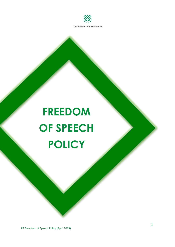

# **FREEDOM OF SPEECH POLICY**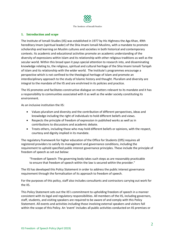

## **1. Introduction and scope**

The Institute of Ismaili Studies (IIS) was established in 1977 by His Highness the Aga Khan, 49th hereditary Imam (spiritual leader) of the Shia Imami Ismaili Muslims, with a mandate to promote scholarship and learning on Muslim cultures and societies in both historical and contemporary contexts. Its academic and educational activities promote an academic understanding of the diversity of expressions within Islam and its relationship with other religious traditions as well as the secular world. Within this broad span it pays special attention to research into, and disseminating knowledge relating to, the religious, spiritual and cultural heritage of the Shia Imami Ismaili Tariqah of Islam and its relationship with the wider world. The Institute's programmes encourage a perspective which is not confined to the theological heritage of Islam and promote an interdisciplinary approach to the study of Islamic history and thought. Pluralism and diversity are integral to the mandate of the IIS and are enshrined in its policies and practice.

The IIS promotes and facilitates constructive dialogue on matters relevant to its mandate and it has a responsibility to communities associated with it as well as the wider society constituting its environment.

As an inclusive institution the IIS:

- Values pluralism and diversity and the contribution of different perspectives, ideas and knowledge including the right of individuals to hold different beliefs and views.
- Respects the principle of freedom of expression in published works as well as in contributions to discussions and academic debate.
- Treats others, including those who may hold different beliefs or opinions, with the respect, courtesy and dignity implied in its mandate.

The regulatory framework for higher education of the Office for Students (OfS) requires all registered providers to satisfy its management and governance conditions, including the requirement to uphold specified public interest governance principles. These include the principle of freedom of speech as set out below:

"Freedom of Speech: The governing body takes such steps as are reasonably practicable to ensure that freedom of speech within the law is secured within the provider."

The IIS has developed this Policy Statement in order to address the public interest governance requirement through the formalisation of its approach to freedom of speech.

For the purposes of this policy, staff also includes consultants and contractors carrying out work for the IIS.

This Policy Statement sets out the IIS's commitment to upholding freedom of speech in a manner consistent with its legal and regulatory responsibilities. All members of the IIS, including governors, staff, students, and visiting speakers are required to be aware of and comply with this Policy Statement. All events and activities including those involving external speakers and visitors fall within the scope of this Policy. An 'event' includes all public activities conducted on IIS premises or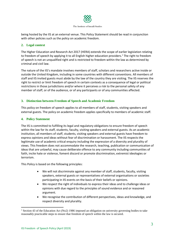

being hosted by the IIS at an external venue. This Policy Statement should be read in conjunction with other policies such as the policy on academic freedom.

# **2. Legal context**

The Higher Education and Research Act 2017 (HERA) extends the scope of earlier legislation relating to freedom of speech by applying it to all English higher education providers.<sup>1</sup> The right to freedom of speech is not an unqualified right and is restricted to freedom within the law as determined by criminal and civil law.

The nature of the IIS's mandate involves members of staff, scholars and researchers active inside or outside the United Kingdom, including in some countries with different conventions. All members of staff and IIS invited guests must abide by the law of the country they are visiting. The IIS reserves the right to restrict or limit freedom of speech in certain contexts as a consequence of legal or political restrictions in those jurisdictions and/or where it perceives a risk to the personal safety of any member of staff, or of the audience, or of any participants or of any communities affected.

# **3. Distinction between Freedom of Speech and Academic Freedom**

This policy on freedom of speech applies to all members of staff, students, visiting speakers and external guests. The policy on academic freedom applies specifically to members of academic staff.

## **4. Policy Statement**

The IIS is committed to fulfilling its legal and regulatory obligations to ensure freedom of speech within the law for its staff, students, faculty, visiting speakers and external guests. As an academic institution, all members of staff, students, visiting speakers and external guests have freedom to express opinions and ideas without fear of discrimination or harassment. The IIS respects the legitimate use of academic critical enquiry including the expression of a diversity and plurality of views. This freedom does not accommodate the research, teaching, publication or communication of ideas that are unlawful, may cause deliberate offence to any community including communities of faith, incite hate or violence, foment discord or promote discrimination, extremist ideologies or terrorism.

This Policy is based on the following principles:

- We will not discriminate against any member of staff, students, faculty, visiting speakers, external guests or representatives of external organisations or societies participating in IIS events on the basis of their beliefs or opinions.
- We respect the right of individuals to express their ideas and to challenge ideas or opinions with due regard to the principles of sound evidence and or reasoned argument.
- We recognise the contribution of different perspectives, ideas and knowledge, and respect diversity and plurality.

**.** 

<sup>&</sup>lt;sup>1</sup> Section 43 of the Education Act (No2) 1986 imposed an obligation on university governing bodies to take reasonably practicable steps to ensure that freedom of speech within the law is secured.